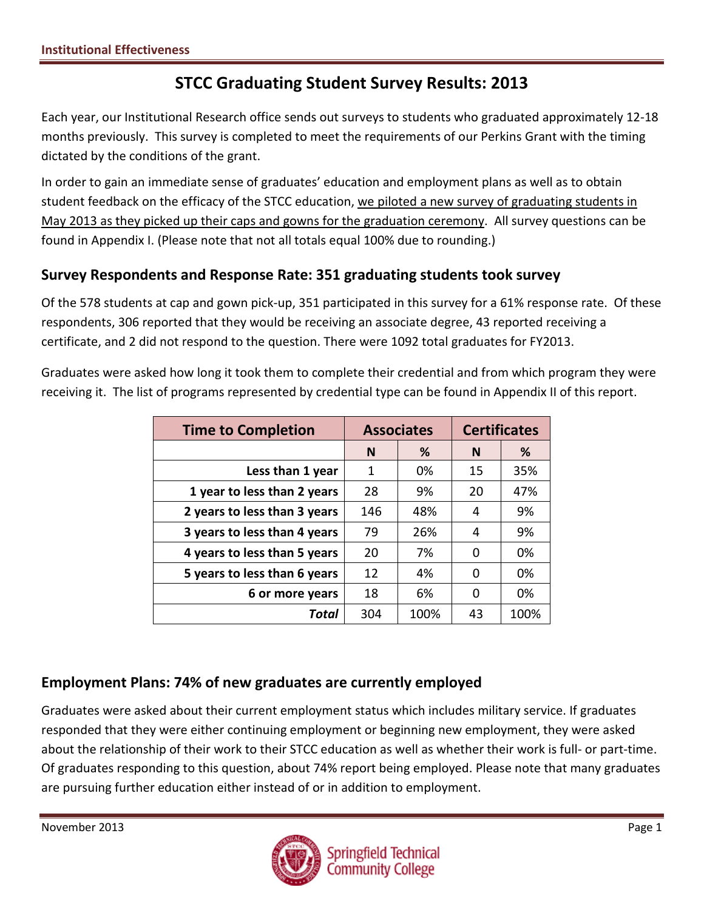# **STCC Graduating Student Survey Results: 2013**

Each year, our Institutional Research office sends out surveys to students who graduated approximately 12-18 months previously. This survey is completed to meet the requirements of our Perkins Grant with the timing dictated by the conditions of the grant.

In order to gain an immediate sense of graduates' education and employment plans as well as to obtain student feedback on the efficacy of the STCC education, we piloted a new survey of graduating students in May 2013 as they picked up their caps and gowns for the graduation ceremony. All survey questions can be found in Appendix I. (Please note that not all totals equal 100% due to rounding.)

## **Survey Respondents and Response Rate: 351 graduating students took survey**

Of the 578 students at cap and gown pick-up, 351 participated in this survey for a 61% response rate. Of these respondents, 306 reported that they would be receiving an associate degree, 43 reported receiving a certificate, and 2 did not respond to the question. There were 1092 total graduates for FY2013.

Graduates were asked how long it took them to complete their credential and from which program they were receiving it. The list of programs represented by credential type can be found in Appendix II of this report.

| <b>Time to Completion</b>    | <b>Associates</b> |      | <b>Certificates</b> |      |
|------------------------------|-------------------|------|---------------------|------|
|                              | %<br>N            |      | N                   | %    |
| Less than 1 year             | 1                 | 0%   | 15                  | 35%  |
| 1 year to less than 2 years  | 28                | 9%   | 20                  | 47%  |
| 2 years to less than 3 years | 146               | 48%  | 4                   | 9%   |
| 3 years to less than 4 years | 79                | 26%  | 4                   | 9%   |
| 4 years to less than 5 years | 20                | 7%   | 0                   | 0%   |
| 5 years to less than 6 years | 12                | 4%   | 0                   | 0%   |
| 6 or more years              | 18                | 6%   | 0                   | 0%   |
| Total                        | 304               | 100% | 43                  | 100% |

## **Employment Plans: 74% of new graduates are currently employed**

Graduates were asked about their current employment status which includes military service. If graduates responded that they were either continuing employment or beginning new employment, they were asked about the relationship of their work to their STCC education as well as whether their work is full- or part-time. Of graduates responding to this question, about 74% report being employed. Please note that many graduates are pursuing further education either instead of or in addition to employment.

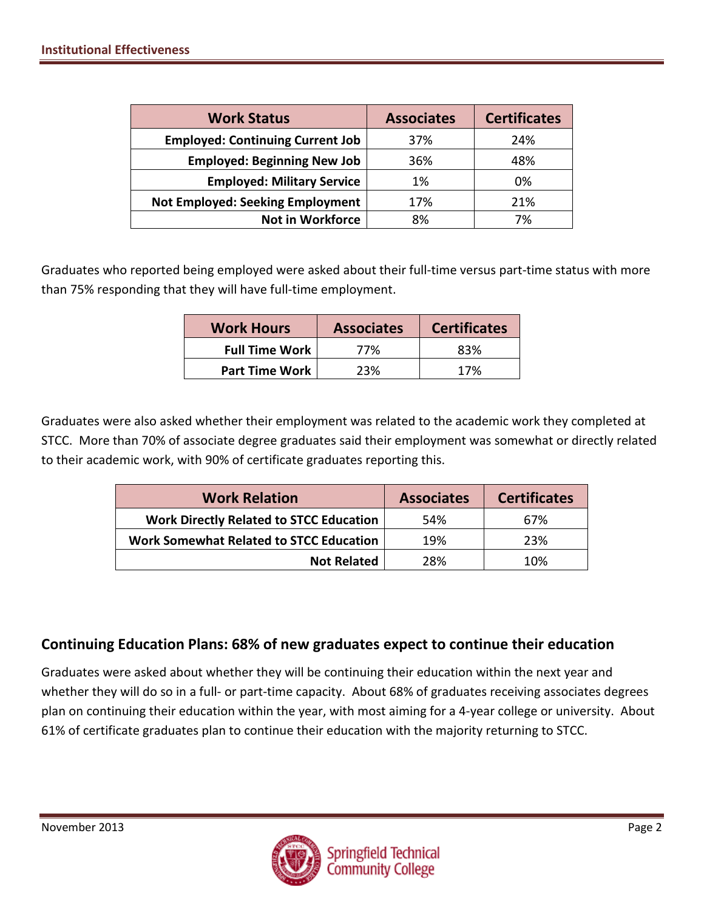| <b>Work Status</b>                      | <b>Associates</b> | <b>Certificates</b> |
|-----------------------------------------|-------------------|---------------------|
| <b>Employed: Continuing Current Job</b> | 37%               | 24%                 |
| <b>Employed: Beginning New Job</b>      | 36%               | 48%                 |
| <b>Employed: Military Service</b>       | 1%                | 0%                  |
| <b>Not Employed: Seeking Employment</b> | 17%               | 21%                 |
| <b>Not in Workforce</b>                 | 8%                | 7%                  |

Graduates who reported being employed were asked about their full-time versus part-time status with more than 75% responding that they will have full-time employment.

| <b>Work Hours</b>     | <b>Associates</b> | <b>Certificates</b> |
|-----------------------|-------------------|---------------------|
| <b>Full Time Work</b> | 77%               | 83%                 |
| <b>Part Time Work</b> | 23%               | 17%                 |

Graduates were also asked whether their employment was related to the academic work they completed at STCC. More than 70% of associate degree graduates said their employment was somewhat or directly related to their academic work, with 90% of certificate graduates reporting this.

| <b>Work Relation</b>                           | <b>Associates</b> | <b>Certificates</b> |
|------------------------------------------------|-------------------|---------------------|
| <b>Work Directly Related to STCC Education</b> | 54%               | 67%                 |
| <b>Work Somewhat Related to STCC Education</b> | 19%               | 23%                 |
| <b>Not Related</b>                             | 28%               | 10%                 |

### **Continuing Education Plans: 68% of new graduates expect to continue their education**

Graduates were asked about whether they will be continuing their education within the next year and whether they will do so in a full- or part-time capacity. About 68% of graduates receiving associates degrees plan on continuing their education within the year, with most aiming for a 4-year college or university. About 61% of certificate graduates plan to continue their education with the majority returning to STCC.

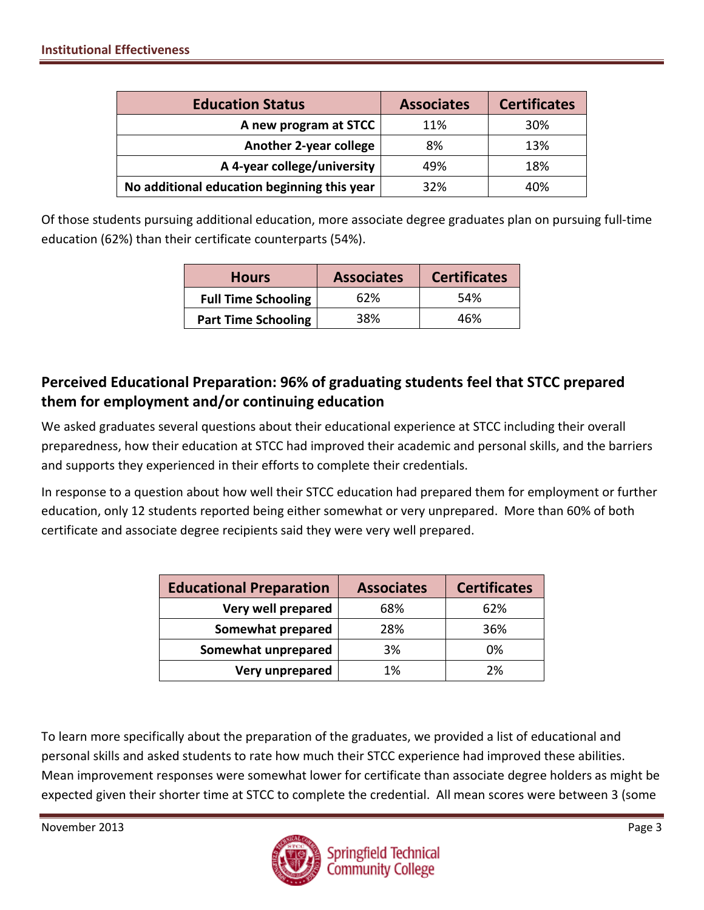| <b>Education Status</b>                     | <b>Associates</b> | <b>Certificates</b> |
|---------------------------------------------|-------------------|---------------------|
| A new program at STCC                       | 11%               | 30%                 |
| <b>Another 2-year college</b>               | 8%                | 13%                 |
| A 4-year college/university                 | 49%               | 18%                 |
| No additional education beginning this year | 32%               | 40%                 |

Of those students pursuing additional education, more associate degree graduates plan on pursuing full-time education (62%) than their certificate counterparts (54%).

| <b>Hours</b>               | <b>Associates</b> | <b>Certificates</b> |
|----------------------------|-------------------|---------------------|
| <b>Full Time Schooling</b> | 62%               | 54%                 |
| <b>Part Time Schooling</b> | 38%               | 46%                 |

## **Perceived Educational Preparation: 96% of graduating students feel that STCC prepared them for employment and/or continuing education**

We asked graduates several questions about their educational experience at STCC including their overall preparedness, how their education at STCC had improved their academic and personal skills, and the barriers and supports they experienced in their efforts to complete their credentials.

In response to a question about how well their STCC education had prepared them for employment or further education, only 12 students reported being either somewhat or very unprepared. More than 60% of both certificate and associate degree recipients said they were very well prepared.

| <b>Educational Preparation</b> | <b>Associates</b> | <b>Certificates</b> |
|--------------------------------|-------------------|---------------------|
| Very well prepared             | 68%               | 62%                 |
| <b>Somewhat prepared</b>       | 28%               | 36%                 |
| Somewhat unprepared            | 3%                | 0%                  |
| Very unprepared                | 1%                | 2%                  |

To learn more specifically about the preparation of the graduates, we provided a list of educational and personal skills and asked students to rate how much their STCC experience had improved these abilities. Mean improvement responses were somewhat lower for certificate than associate degree holders as might be expected given their shorter time at STCC to complete the credential. All mean scores were between 3 (some

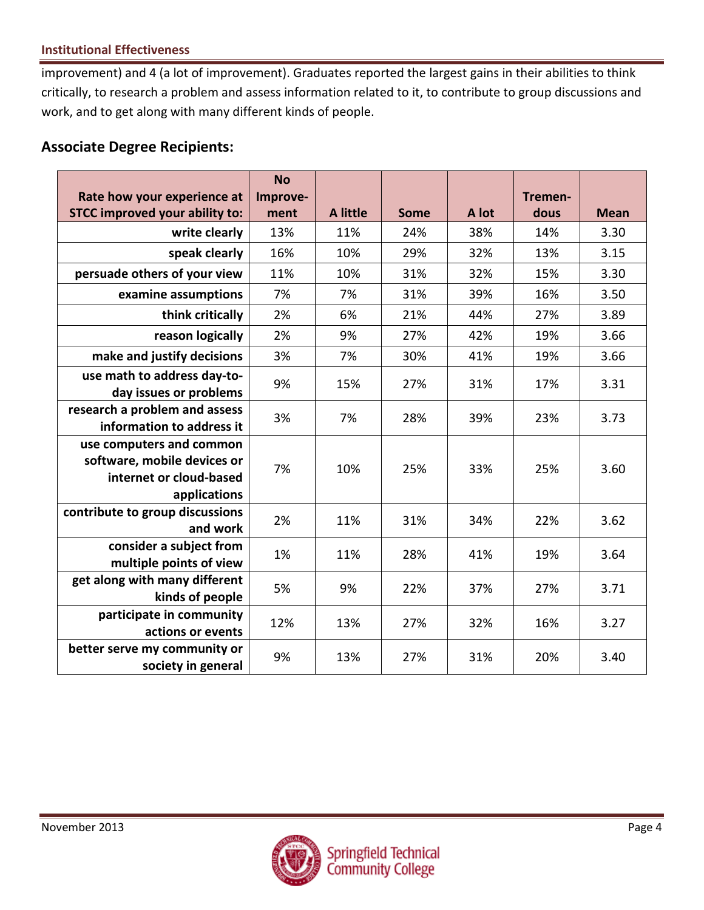#### **Institutional Effectiveness**

improvement) and 4 (a lot of improvement). Graduates reported the largest gains in their abilities to think critically, to research a problem and assess information related to it, to contribute to group discussions and work, and to get along with many different kinds of people.

### **Associate Degree Recipients:**

|                                                                                                    | <b>No</b> |                 |             |       |         |             |
|----------------------------------------------------------------------------------------------------|-----------|-----------------|-------------|-------|---------|-------------|
| Rate how your experience at                                                                        | Improve-  |                 |             |       | Tremen- |             |
| <b>STCC improved your ability to:</b>                                                              | ment      | <b>A</b> little | <b>Some</b> | A lot | dous    | <b>Mean</b> |
| write clearly                                                                                      | 13%       | 11%             | 24%         | 38%   | 14%     | 3.30        |
| speak clearly                                                                                      | 16%       | 10%             | 29%         | 32%   | 13%     | 3.15        |
| persuade others of your view                                                                       | 11%       | 10%             | 31%         | 32%   | 15%     | 3.30        |
| examine assumptions                                                                                | 7%        | 7%              | 31%         | 39%   | 16%     | 3.50        |
| think critically                                                                                   | 2%        | 6%              | 21%         | 44%   | 27%     | 3.89        |
| reason logically                                                                                   | 2%        | 9%              | 27%         | 42%   | 19%     | 3.66        |
| make and justify decisions                                                                         | 3%        | 7%              | 30%         | 41%   | 19%     | 3.66        |
| use math to address day-to-<br>day issues or problems                                              | 9%        | 15%             | 27%         | 31%   | 17%     | 3.31        |
| research a problem and assess<br>information to address it                                         | 3%        | 7%              | 28%         | 39%   | 23%     | 3.73        |
| use computers and common<br>software, mobile devices or<br>internet or cloud-based<br>applications | 7%        | 10%             | 25%         | 33%   | 25%     | 3.60        |
| contribute to group discussions<br>and work                                                        | 2%        | 11%             | 31%         | 34%   | 22%     | 3.62        |
| consider a subject from<br>multiple points of view                                                 | 1%        | 11%             | 28%         | 41%   | 19%     | 3.64        |
| get along with many different<br>kinds of people                                                   | 5%        | 9%              | 22%         | 37%   | 27%     | 3.71        |
| participate in community<br>actions or events                                                      | 12%       | 13%             | 27%         | 32%   | 16%     | 3.27        |
| better serve my community or<br>society in general                                                 | 9%        | 13%             | 27%         | 31%   | 20%     | 3.40        |

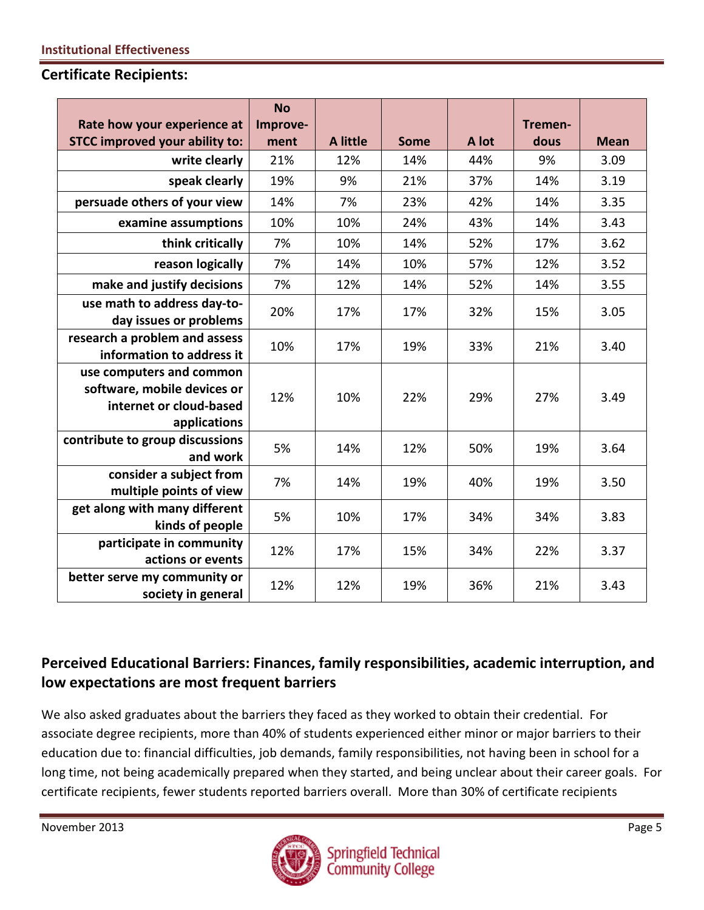#### **Certificate Recipients:**

|                                                                                                    | <b>No</b> |                 |             |       |         |             |
|----------------------------------------------------------------------------------------------------|-----------|-----------------|-------------|-------|---------|-------------|
| Rate how your experience at                                                                        | Improve-  |                 |             |       | Tremen- |             |
| <b>STCC improved your ability to:</b>                                                              | ment      | <b>A</b> little | <b>Some</b> | A lot | dous    | <b>Mean</b> |
| write clearly                                                                                      | 21%       | 12%             | 14%         | 44%   | 9%      | 3.09        |
| speak clearly                                                                                      | 19%       | 9%              | 21%         | 37%   | 14%     | 3.19        |
| persuade others of your view                                                                       | 14%       | 7%              | 23%         | 42%   | 14%     | 3.35        |
| examine assumptions                                                                                | 10%       | 10%             | 24%         | 43%   | 14%     | 3.43        |
| think critically                                                                                   | 7%        | 10%             | 14%         | 52%   | 17%     | 3.62        |
| reason logically                                                                                   | 7%        | 14%             | 10%         | 57%   | 12%     | 3.52        |
| make and justify decisions                                                                         | 7%        | 12%             | 14%         | 52%   | 14%     | 3.55        |
| use math to address day-to-<br>day issues or problems                                              | 20%       | 17%             | 17%         | 32%   | 15%     | 3.05        |
| research a problem and assess<br>information to address it                                         | 10%       | 17%             | 19%         | 33%   | 21%     | 3.40        |
| use computers and common<br>software, mobile devices or<br>internet or cloud-based<br>applications | 12%       | 10%             | 22%         | 29%   | 27%     | 3.49        |
| contribute to group discussions<br>and work                                                        | 5%        | 14%             | 12%         | 50%   | 19%     | 3.64        |
| consider a subject from<br>multiple points of view                                                 | 7%        | 14%             | 19%         | 40%   | 19%     | 3.50        |
| get along with many different<br>kinds of people                                                   | 5%        | 10%             | 17%         | 34%   | 34%     | 3.83        |
| participate in community<br>actions or events                                                      | 12%       | 17%             | 15%         | 34%   | 22%     | 3.37        |
| better serve my community or<br>society in general                                                 | 12%       | 12%             | 19%         | 36%   | 21%     | 3.43        |

## **Perceived Educational Barriers: Finances, family responsibilities, academic interruption, and low expectations are most frequent barriers**

We also asked graduates about the barriers they faced as they worked to obtain their credential. For associate degree recipients, more than 40% of students experienced either minor or major barriers to their education due to: financial difficulties, job demands, family responsibilities, not having been in school for a long time, not being academically prepared when they started, and being unclear about their career goals. For certificate recipients, fewer students reported barriers overall. More than 30% of certificate recipients

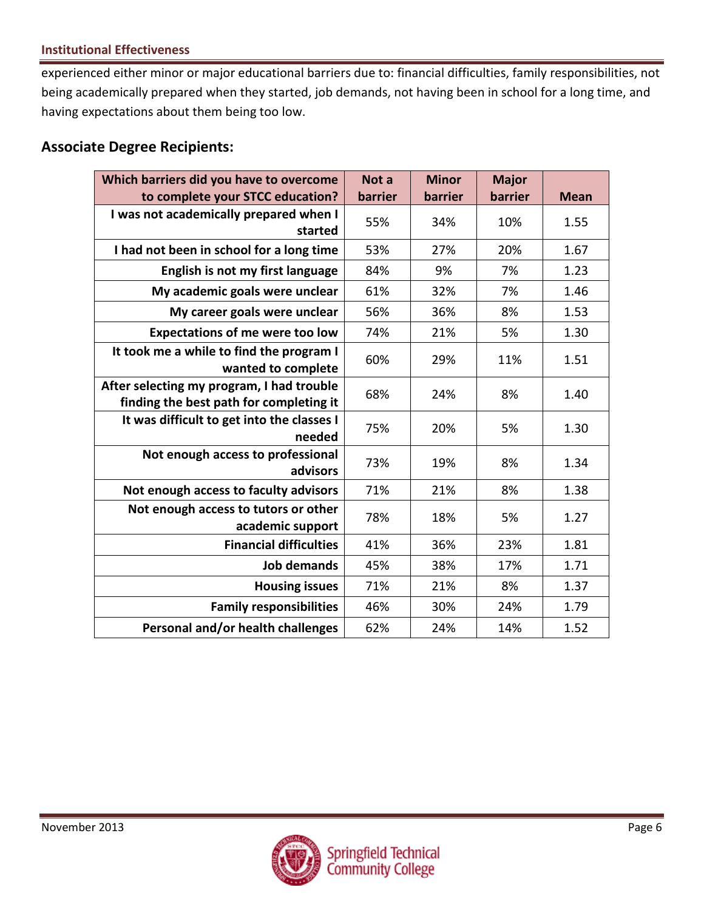#### **Institutional Effectiveness**

experienced either minor or major educational barriers due to: financial difficulties, family responsibilities, not being academically prepared when they started, job demands, not having been in school for a long time, and having expectations about them being too low.

### **Associate Degree Recipients:**

| Which barriers did you have to overcome                                              | Not a   | <b>Minor</b> | <b>Major</b> |             |
|--------------------------------------------------------------------------------------|---------|--------------|--------------|-------------|
| to complete your STCC education?                                                     | barrier | barrier      | barrier      | <b>Mean</b> |
| I was not academically prepared when I<br>started                                    | 55%     | 34%          | 10%          | 1.55        |
| I had not been in school for a long time                                             | 53%     | 27%          | 20%          | 1.67        |
| English is not my first language                                                     | 84%     | 9%           | 7%           | 1.23        |
| My academic goals were unclear                                                       | 61%     | 32%          | 7%           | 1.46        |
| My career goals were unclear                                                         | 56%     | 36%          | 8%           | 1.53        |
| <b>Expectations of me were too low</b>                                               | 74%     | 21%          | 5%           | 1.30        |
| It took me a while to find the program I<br>wanted to complete                       | 60%     | 29%          | 11%          | 1.51        |
| After selecting my program, I had trouble<br>finding the best path for completing it | 68%     | 24%          | 8%           | 1.40        |
| It was difficult to get into the classes I<br>needed                                 | 75%     | 20%          | 5%           | 1.30        |
| Not enough access to professional<br>advisors                                        | 73%     | 19%          | 8%           | 1.34        |
| Not enough access to faculty advisors                                                | 71%     | 21%          | 8%           | 1.38        |
| Not enough access to tutors or other<br>academic support                             | 78%     | 18%          | 5%           | 1.27        |
| <b>Financial difficulties</b>                                                        | 41%     | 36%          | 23%          | 1.81        |
| <b>Job demands</b>                                                                   | 45%     | 38%          | 17%          | 1.71        |
| <b>Housing issues</b>                                                                | 71%     | 21%          | 8%           | 1.37        |
| <b>Family responsibilities</b>                                                       | 46%     | 30%          | 24%          | 1.79        |
| Personal and/or health challenges                                                    | 62%     | 24%          | 14%          | 1.52        |

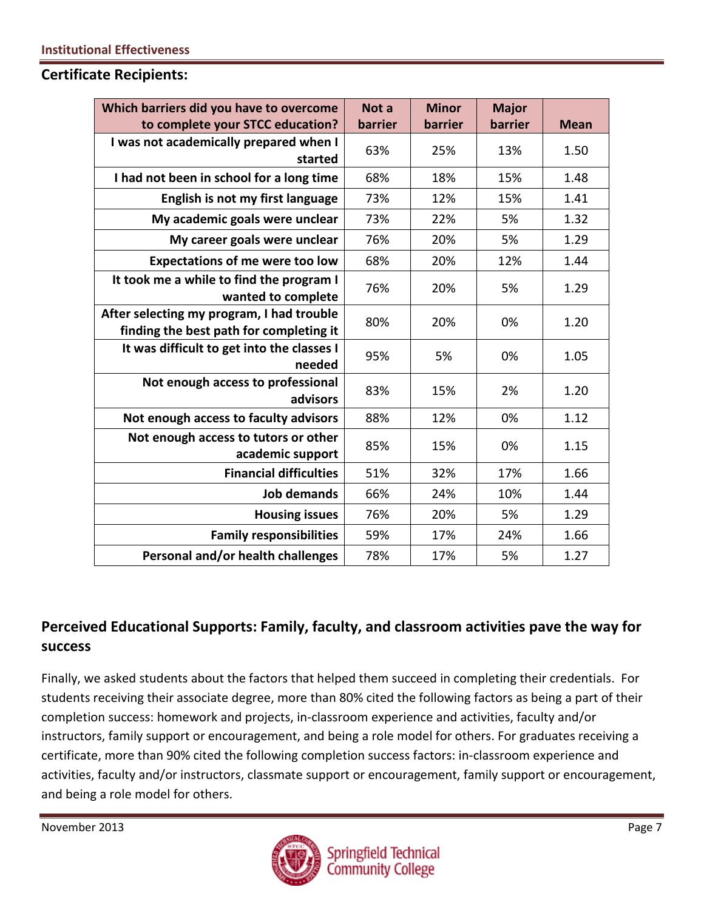#### **Certificate Recipients:**

| Which barriers did you have to overcome                                              | Not a   | <b>Minor</b> | <b>Major</b> |             |
|--------------------------------------------------------------------------------------|---------|--------------|--------------|-------------|
| to complete your STCC education?                                                     | barrier | barrier      | barrier      | <b>Mean</b> |
| I was not academically prepared when I<br>started                                    | 63%     | 25%          | 13%          | 1.50        |
| I had not been in school for a long time                                             | 68%     | 18%          | 15%          | 1.48        |
| English is not my first language                                                     | 73%     | 12%          | 15%          | 1.41        |
| My academic goals were unclear                                                       | 73%     | 22%          | 5%           | 1.32        |
| My career goals were unclear                                                         | 76%     | 20%          | 5%           | 1.29        |
| <b>Expectations of me were too low</b>                                               | 68%     | 20%          | 12%          | 1.44        |
| It took me a while to find the program I<br>wanted to complete                       | 76%     | 20%          | 5%           | 1.29        |
| After selecting my program, I had trouble<br>finding the best path for completing it | 80%     | 20%          | 0%           | 1.20        |
| It was difficult to get into the classes I<br>needed                                 | 95%     | 5%           | 0%           | 1.05        |
| Not enough access to professional<br>advisors                                        | 83%     | 15%          | 2%           | 1.20        |
| Not enough access to faculty advisors                                                | 88%     | 12%          | 0%           | 1.12        |
| Not enough access to tutors or other<br>academic support                             | 85%     | 15%          | 0%           | 1.15        |
| <b>Financial difficulties</b>                                                        | 51%     | 32%          | 17%          | 1.66        |
| <b>Job demands</b>                                                                   | 66%     | 24%          | 10%          | 1.44        |
| <b>Housing issues</b>                                                                | 76%     | 20%          | 5%           | 1.29        |
| <b>Family responsibilities</b>                                                       | 59%     | 17%          | 24%          | 1.66        |
| Personal and/or health challenges                                                    | 78%     | 17%          | 5%           | 1.27        |

## **Perceived Educational Supports: Family, faculty, and classroom activities pave the way for success**

Finally, we asked students about the factors that helped them succeed in completing their credentials. For students receiving their associate degree, more than 80% cited the following factors as being a part of their completion success: homework and projects, in-classroom experience and activities, faculty and/or instructors, family support or encouragement, and being a role model for others. For graduates receiving a certificate, more than 90% cited the following completion success factors: in-classroom experience and activities, faculty and/or instructors, classmate support or encouragement, family support or encouragement, and being a role model for others.

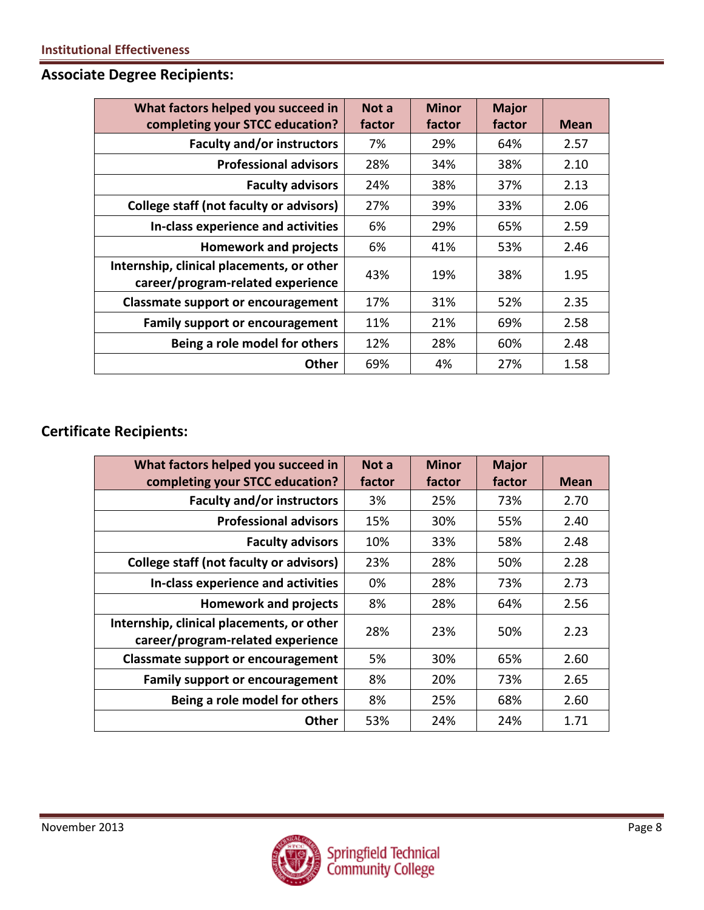**Associate Degree Recipients:** 

| What factors helped you succeed in                                             | Not a  | <b>Minor</b> | <b>Major</b> |             |
|--------------------------------------------------------------------------------|--------|--------------|--------------|-------------|
| completing your STCC education?                                                | factor | factor       | factor       | <b>Mean</b> |
| <b>Faculty and/or instructors</b>                                              | 7%     | 29%          | 64%          | 2.57        |
| <b>Professional advisors</b>                                                   | 28%    | 34%          | 38%          | 2.10        |
| <b>Faculty advisors</b>                                                        | 24%    | 38%          | 37%          | 2.13        |
| <b>College staff (not faculty or advisors)</b>                                 | 27%    | 39%          | 33%          | 2.06        |
| In-class experience and activities                                             | 6%     | 29%          | 65%          | 2.59        |
| <b>Homework and projects</b>                                                   | 6%     | 41%          | 53%          | 2.46        |
| Internship, clinical placements, or other<br>career/program-related experience | 43%    | 19%          | 38%          | 1.95        |
| <b>Classmate support or encouragement</b>                                      | 17%    | 31%          | 52%          | 2.35        |
| <b>Family support or encouragement</b>                                         | 11%    | 21%          | 69%          | 2.58        |
| Being a role model for others                                                  | 12%    | 28%          | 60%          | 2.48        |
| <b>Other</b>                                                                   | 69%    | 4%           | 27%          | 1.58        |

# **Certificate Recipients:**

| What factors helped you succeed in                                             | Not a  | <b>Minor</b> | <b>Major</b> |             |
|--------------------------------------------------------------------------------|--------|--------------|--------------|-------------|
| completing your STCC education?                                                | factor | factor       | factor       | <b>Mean</b> |
| <b>Faculty and/or instructors</b>                                              | 3%     | 25%          | 73%          | 2.70        |
| <b>Professional advisors</b>                                                   | 15%    | 30%          | 55%          | 2.40        |
| <b>Faculty advisors</b>                                                        | 10%    | 33%          | 58%          | 2.48        |
| <b>College staff (not faculty or advisors)</b>                                 | 23%    | 28%          | 50%          | 2.28        |
| In-class experience and activities                                             | 0%     | 28%          | 73%          | 2.73        |
| <b>Homework and projects</b>                                                   | 8%     | 28%          | 64%          | 2.56        |
| Internship, clinical placements, or other<br>career/program-related experience | 28%    | 23%          | 50%          | 2.23        |
| <b>Classmate support or encouragement</b>                                      | 5%     | 30%          | 65%          | 2.60        |
| <b>Family support or encouragement</b>                                         | 8%     | 20%          | 73%          | 2.65        |
| Being a role model for others                                                  | 8%     | 25%          | 68%          | 2.60        |
| Other                                                                          | 53%    | 24%          | 24%          | 1.71        |

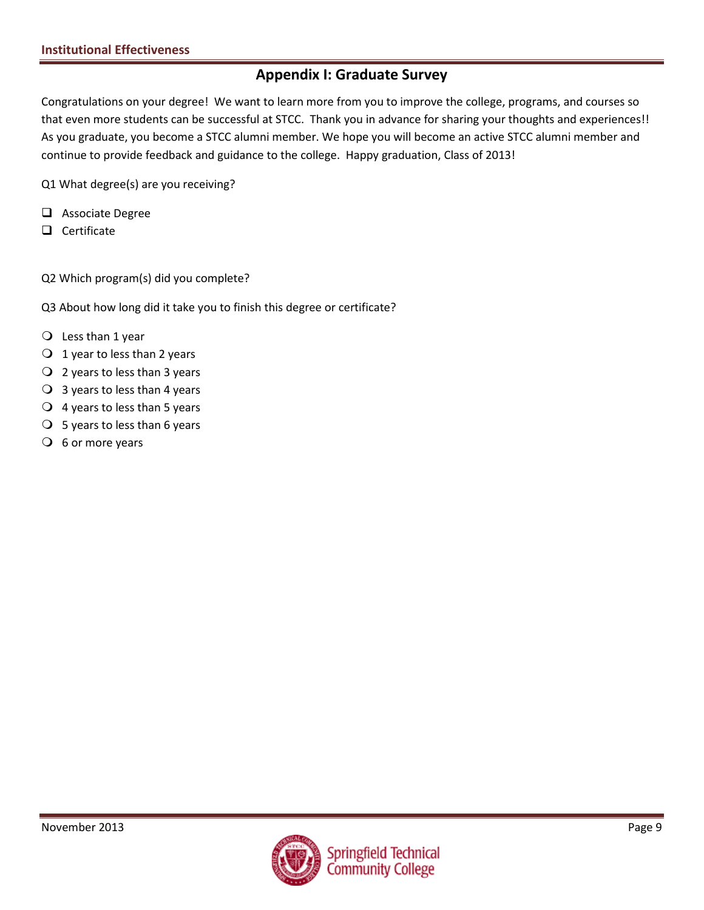### **Appendix I: Graduate Survey**

Congratulations on your degree! We want to learn more from you to improve the college, programs, and courses so that even more students can be successful at STCC. Thank you in advance for sharing your thoughts and experiences!! As you graduate, you become a STCC alumni member. We hope you will become an active STCC alumni member and continue to provide feedback and guidance to the college. Happy graduation, Class of 2013!

Q1 What degree(s) are you receiving?

- □ Associate Degree
- $\Box$  Certificate

Q2 Which program(s) did you complete?

Q3 About how long did it take you to finish this degree or certificate?

- $\bigcirc$  Less than 1 year
- $\bigcirc$  1 year to less than 2 years
- $\overline{Q}$  2 years to less than 3 years
- $\bigcirc$  3 years to less than 4 years
- $\overline{Q}$  4 years to less than 5 years
- $\bigcirc$  5 years to less than 6 years
- $\overline{O}$  6 or more years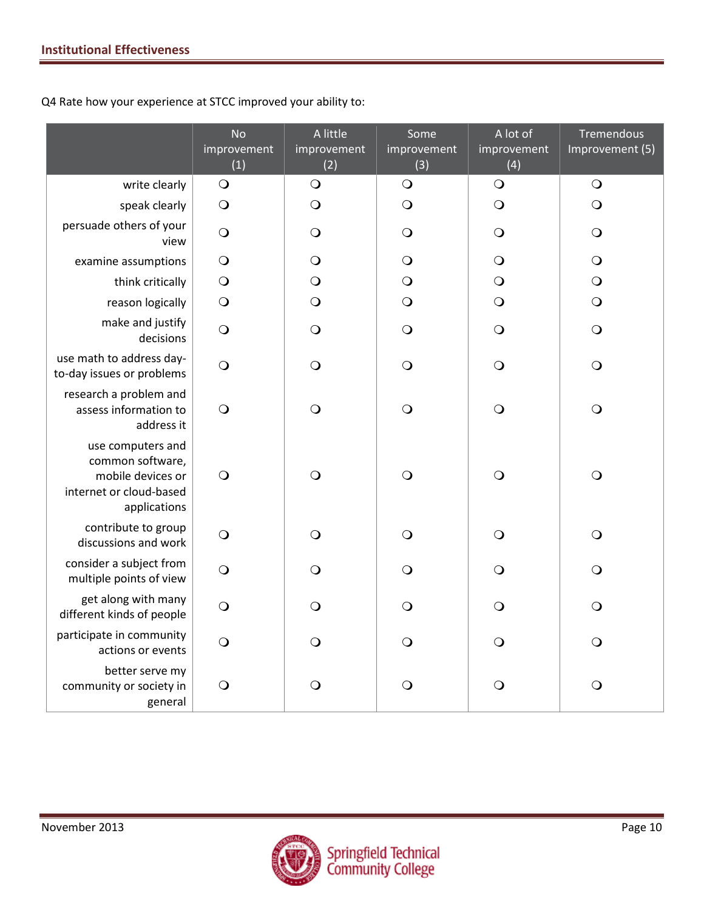Q4 Rate how your experience at STCC improved your ability to:

|                                                                                                       | <b>No</b><br>improvement<br>(1) | A little<br>improvement<br>(2) | Some<br>improvement<br>(3) | A lot of<br>improvement<br>(4) | Tremendous<br>Improvement (5) |
|-------------------------------------------------------------------------------------------------------|---------------------------------|--------------------------------|----------------------------|--------------------------------|-------------------------------|
| write clearly                                                                                         | $\bigcirc$                      | $\bigcirc$                     | $\bigcirc$                 | $\bigcirc$                     | $\bigcirc$                    |
| speak clearly                                                                                         | $\bigcirc$                      | $\bigcirc$                     | $\bigcirc$                 | $\bigcirc$                     | $\bigcirc$                    |
| persuade others of your<br>view                                                                       | $\bigcirc$                      | O                              | $\bigcirc$                 | $\bigcirc$                     | $\bigcirc$                    |
| examine assumptions                                                                                   | $\bigcirc$                      | O                              | $\bigcirc$                 | $\bigcirc$                     | $\bigcirc$                    |
| think critically                                                                                      | $\bigcirc$                      | O                              | $\bigcirc$                 | $\bigcirc$                     | $\bigcirc$                    |
| reason logically                                                                                      | $\bigcirc$                      | $\bigcirc$                     | $\bigcirc$                 | $\bigcirc$                     | $\bigcirc$                    |
| make and justify<br>decisions                                                                         | $\bigcirc$                      | $\bigcirc$                     | $\bigcirc$                 | $\bigcirc$                     | $\bigcirc$                    |
| use math to address day-<br>to-day issues or problems                                                 | $\bigcirc$                      | $\bigcirc$                     | $\bigcirc$                 | $\bigcirc$                     | $\bigcirc$                    |
| research a problem and<br>assess information to<br>address it                                         | $\bigcirc$                      | $\bigcirc$                     | $\bigcirc$                 | $\bigcirc$                     | $\bigcirc$                    |
| use computers and<br>common software,<br>mobile devices or<br>internet or cloud-based<br>applications | $\bigcirc$                      | $\bigcirc$                     | $\bigcirc$                 | $\bigcirc$                     | $\bigcirc$                    |
| contribute to group<br>discussions and work                                                           | $\bigcirc$                      | O                              | $\circ$                    | $\bigcirc$                     | $\bigcirc$                    |
| consider a subject from<br>multiple points of view                                                    | $\bigcirc$                      | $\mathsf{O}$                   | $\bigcirc$                 | $\bigcirc$                     | $\bigcirc$                    |
| get along with many<br>different kinds of people                                                      | $\circ$                         | O                              | $\circ$                    | $\circ$                        | $\circ$                       |
| participate in community<br>actions or events                                                         | $\bigcirc$                      | $\mathsf{O}$                   | $\Omega$                   | $\bigcirc$                     | $\bigcirc$                    |
| better serve my<br>community or society in<br>general                                                 | $\bigcirc$                      | O                              | $\bigcirc$                 | $\bigcirc$                     | $\bigcirc$                    |

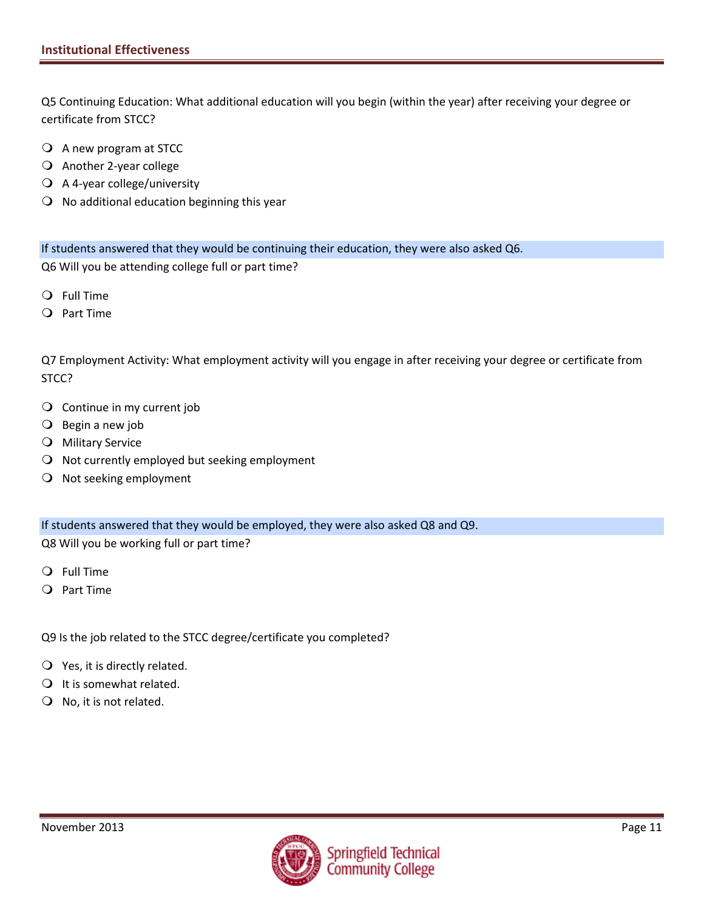Q5 Continuing Education: What additional education will you begin (within the year) after receiving your degree or certificate from STCC?

- A new program at STCC
- Another 2-year college
- A 4-year college/university
- $\Omega$  No additional education beginning this year

If students answered that they would be continuing their education, they were also asked Q6. Q6 Will you be attending college full or part time?

- Full Time
- $Q$  Part Time

Q7 Employment Activity: What employment activity will you engage in after receiving your degree or certificate from STCC?

- Continue in my current job
- $\bigcirc$  Begin a new job
- **O** Military Service
- $\Omega$  Not currently employed but seeking employment
- O Not seeking employment

If students answered that they would be employed, they were also asked Q8 and Q9.

Q8 Will you be working full or part time?

- Full Time
- Part Time

Q9 Is the job related to the STCC degree/certificate you completed?

- $Q$  Yes, it is directly related.
- $\bigcirc$  It is somewhat related.
- O No, it is not related.

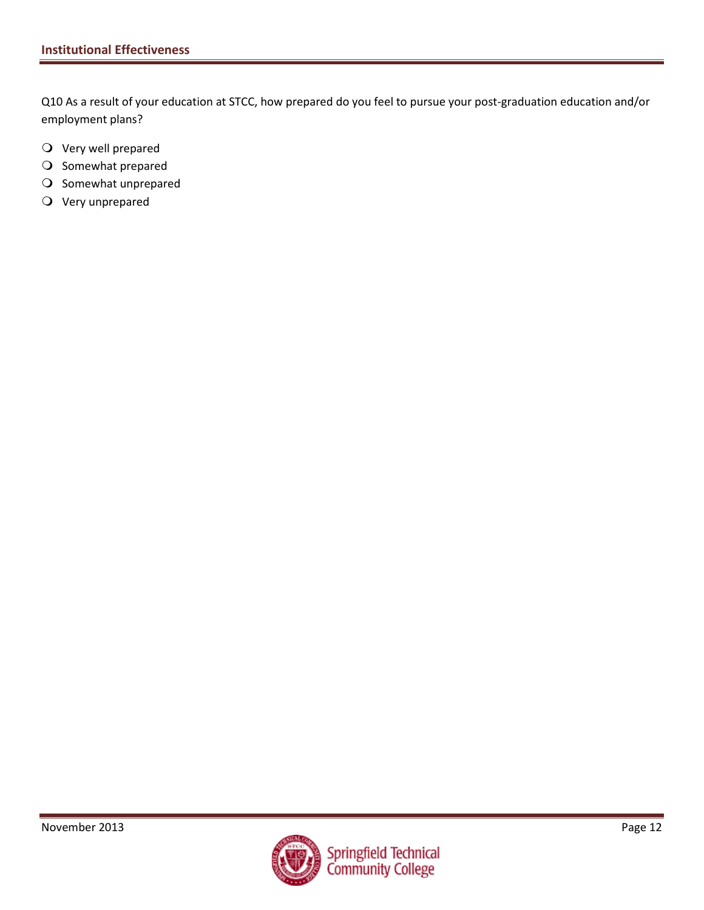Q10 As a result of your education at STCC, how prepared do you feel to pursue your post-graduation education and/or employment plans?

- Very well prepared
- O Somewhat prepared
- O Somewhat unprepared
- Very unprepared

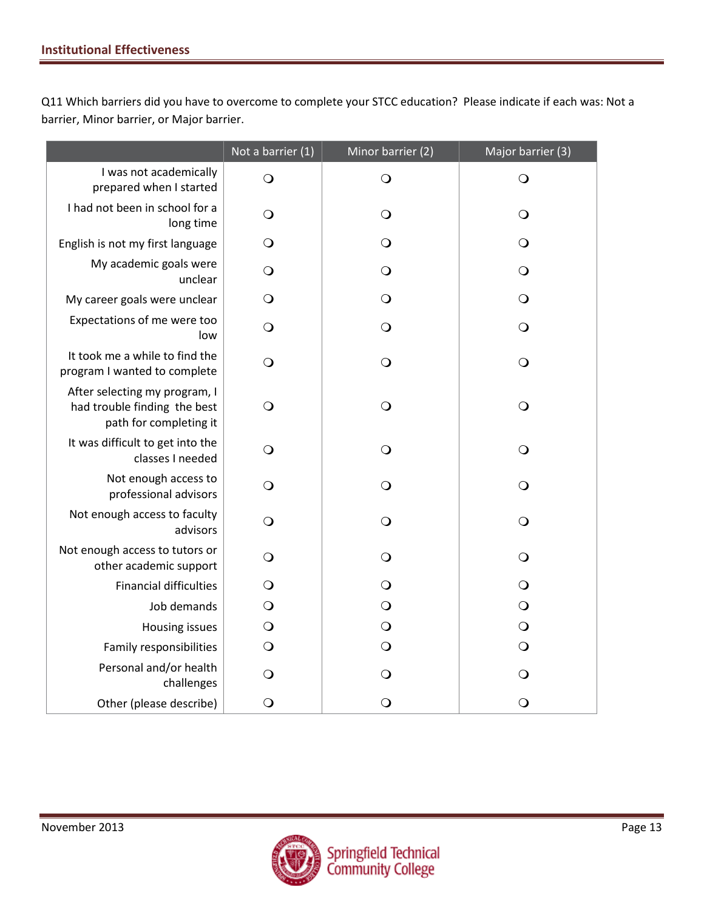Q11 Which barriers did you have to overcome to complete your STCC education? Please indicate if each was: Not a barrier, Minor barrier, or Major barrier.

|                                                                                         | Not a barrier (1) | Minor barrier (2) | Major barrier (3) |
|-----------------------------------------------------------------------------------------|-------------------|-------------------|-------------------|
| I was not academically<br>prepared when I started                                       | $\bigcirc$        | $\bigcirc$        | $\bigcirc$        |
| I had not been in school for a<br>long time                                             | $\circ$           | $\circ$           | $\bigcirc$        |
| English is not my first language                                                        | $\circ$           | $\bigcirc$        | $\bigcirc$        |
| My academic goals were<br>unclear                                                       | $\circ$           | $\bigcirc$        | $\bigcirc$        |
| My career goals were unclear                                                            | $\bigcirc$        | $\bigcirc$        | $\bigcirc$        |
| Expectations of me were too<br>low                                                      | $\bigcirc$        | $\bigcirc$        | $\bigcirc$        |
| It took me a while to find the<br>program I wanted to complete                          | $\bigcirc$        | $\bigcirc$        | $\bigcirc$        |
| After selecting my program, I<br>had trouble finding the best<br>path for completing it | $\bigcirc$        | $\bigcirc$        | $\bigcirc$        |
| It was difficult to get into the<br>classes I needed                                    | O                 | $\bigcirc$        | $\bigcirc$        |
| Not enough access to<br>professional advisors                                           | O                 | O                 | $\bigcirc$        |
| Not enough access to faculty<br>advisors                                                | $\bigcirc$        | $\bigcirc$        | $\bigcirc$        |
| Not enough access to tutors or<br>other academic support                                | $\circ$           | $\bigcirc$        | $\bigcirc$        |
| <b>Financial difficulties</b>                                                           | $\bigcirc$        | $\bigcirc$        | $\bigcirc$        |
| Job demands                                                                             | $\bigcirc$        | $\bigcirc$        | $\bigcirc$        |
| <b>Housing issues</b>                                                                   | $\bigcirc$        | $\bigcirc$        | $\bigcirc$        |
| Family responsibilities                                                                 | $\bigcirc$        | $\bigcirc$        | $\bigcirc$        |
| Personal and/or health<br>challenges                                                    | O                 | $\bigcirc$        | $\bigcirc$        |
| Other (please describe)                                                                 | $\bigcirc$        | $\bigcirc$        | $\circ$           |

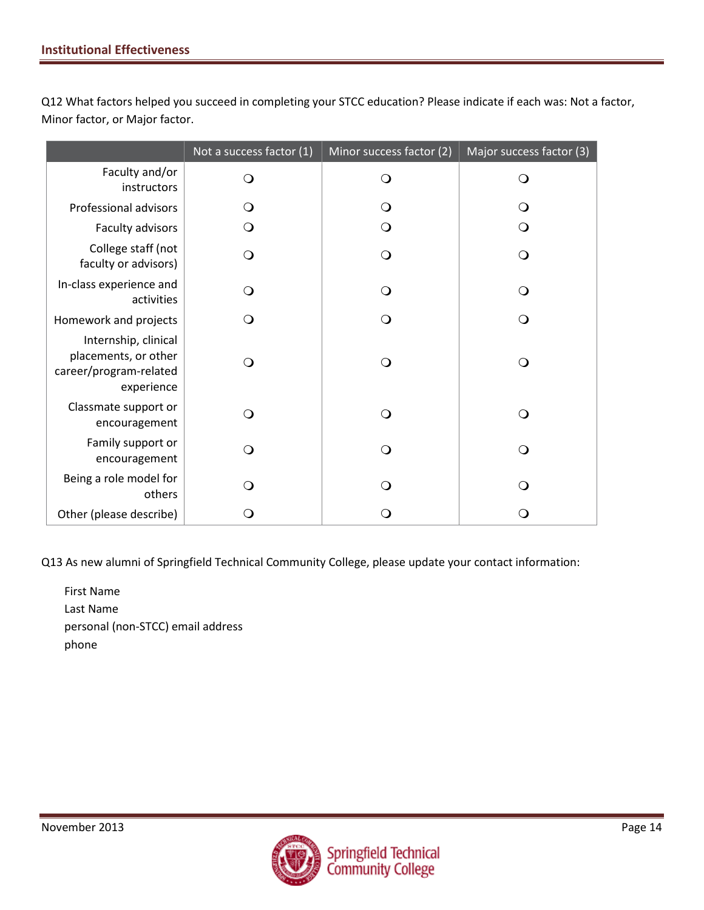Q12 What factors helped you succeed in completing your STCC education? Please indicate if each was: Not a factor, Minor factor, or Major factor.

|                                                                                      | Not a success factor (1) | Minor success factor (2) | Major success factor (3) |
|--------------------------------------------------------------------------------------|--------------------------|--------------------------|--------------------------|
| Faculty and/or<br>instructors                                                        | ∩                        | Q                        | ∩                        |
| Professional advisors                                                                | O                        | $\Omega$                 |                          |
| Faculty advisors                                                                     | O                        | Q                        | ∩                        |
| College staff (not<br>faculty or advisors)                                           |                          | O                        |                          |
| In-class experience and<br>activities                                                | O                        | Q                        | ( )                      |
| Homework and projects                                                                |                          | ∩                        | ( )                      |
| Internship, clinical<br>placements, or other<br>career/program-related<br>experience |                          | Q                        | ∩                        |
| Classmate support or<br>encouragement                                                |                          | Q                        | ∩                        |
| Family support or<br>encouragement                                                   | ∩                        | $\Omega$                 | ∩                        |
| Being a role model for<br>others                                                     |                          | ∩                        |                          |
| Other (please describe)                                                              |                          |                          |                          |

Q13 As new alumni of Springfield Technical Community College, please update your contact information:

First Name Last Name personal (non-STCC) email address phone

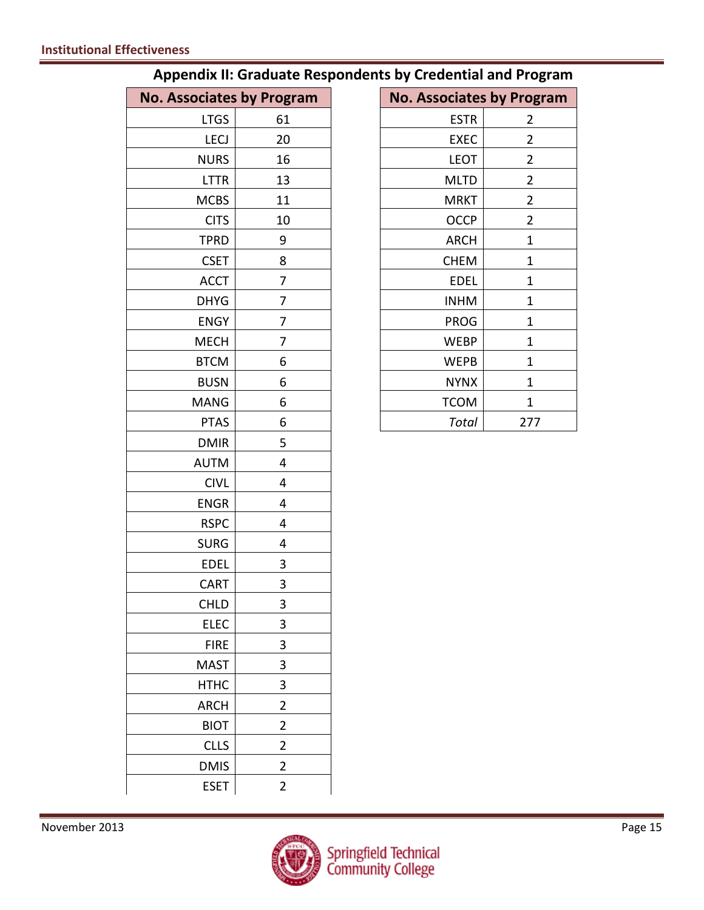| <b>No. Associates by Program</b> |                | <b>No. Associates by Program</b> |  |
|----------------------------------|----------------|----------------------------------|--|
| <b>LTGS</b>                      | 61             | <b>ESTR</b><br>$\overline{2}$    |  |
| <b>LECJ</b>                      | 20             | EXEC<br>$\overline{2}$           |  |
| <b>NURS</b>                      | 16             | $\overline{2}$<br><b>LEOT</b>    |  |
| <b>LTTR</b>                      | 13             | <b>MLTD</b><br>$\overline{2}$    |  |
| <b>MCBS</b>                      | 11             | $\overline{2}$<br><b>MRKT</b>    |  |
| <b>CITS</b>                      | 10             | OCCP<br>$\overline{2}$           |  |
| <b>TPRD</b>                      | 9              | <b>ARCH</b><br>$\mathbf{1}$      |  |
| <b>CSET</b>                      | 8              | <b>CHEM</b><br>$\mathbf{1}$      |  |
| <b>ACCT</b>                      | 7              | <b>EDEL</b><br>$\mathbf{1}$      |  |
| <b>DHYG</b>                      | 7              | $\mathbf 1$<br><b>INHM</b>       |  |
| <b>ENGY</b>                      | 7              | <b>PROG</b><br>$\mathbf{1}$      |  |
| <b>MECH</b>                      | 7              | <b>WEBP</b><br>$\mathbf 1$       |  |
| <b>BTCM</b>                      | 6              | <b>WEPB</b><br>$\mathbf{1}$      |  |
| <b>BUSN</b>                      | 6              | <b>NYNX</b><br>$\mathbf 1$       |  |
| <b>MANG</b>                      | 6              | <b>TCOM</b><br>$\mathbf{1}$      |  |
| <b>PTAS</b>                      | 6              | <b>Total</b><br>277              |  |
| <b>DMIR</b>                      | 5              |                                  |  |
| <b>AUTM</b>                      | 4              |                                  |  |
| <b>CIVL</b>                      | 4              |                                  |  |
| <b>ENGR</b>                      | 4              |                                  |  |
| <b>RSPC</b>                      | 4              |                                  |  |
| <b>SURG</b>                      | 4              |                                  |  |
| <b>EDEL</b>                      | 3              |                                  |  |
| <b>CART</b>                      | 3              |                                  |  |
| <b>CHLD</b>                      | 3              |                                  |  |
| ELEC                             | 3              |                                  |  |
| <b>FIRE</b>                      | 3              |                                  |  |
| <b>MAST</b>                      | 3              |                                  |  |
| <b>HTHC</b>                      | 3              |                                  |  |
| <b>ARCH</b>                      | $\overline{2}$ |                                  |  |
| <b>BIOT</b>                      | $\overline{2}$ |                                  |  |
| <b>CLLS</b>                      | $\overline{2}$ |                                  |  |
| <b>DMIS</b>                      | $\overline{2}$ |                                  |  |
| <b>ESET</b>                      | $\overline{2}$ |                                  |  |

| <b>Appendix II: Graduate Respondents by Credential and Program</b> |  |
|--------------------------------------------------------------------|--|
|--------------------------------------------------------------------|--|

|             | <b>pciates by Program</b> | <b>No. Associates by Program</b> |                |
|-------------|---------------------------|----------------------------------|----------------|
| <b>LTGS</b> | 61                        | <b>ESTR</b>                      | 2              |
| <b>LECJ</b> | 20                        | <b>EXEC</b>                      | $\overline{2}$ |
| <b>NURS</b> | 16                        | <b>LEOT</b>                      | $\overline{2}$ |
| <b>LTTR</b> | 13                        | <b>MLTD</b>                      | $\overline{2}$ |
| <b>MCBS</b> | 11                        | <b>MRKT</b>                      | $\overline{2}$ |
| <b>CITS</b> | 10                        | <b>OCCP</b>                      | 2              |
| <b>TPRD</b> | 9                         | <b>ARCH</b>                      | $\mathbf 1$    |
| <b>CSET</b> | 8                         | <b>CHEM</b>                      | 1              |
| <b>ACCT</b> | 7                         | <b>EDEL</b>                      | $\mathbf{1}$   |
| <b>DHYG</b> | 7                         | <b>INHM</b>                      | $\mathbf{1}$   |
| <b>ENGY</b> | 7                         | <b>PROG</b>                      | $\mathbf{1}$   |
| <b>MECH</b> | 7                         | <b>WEBP</b>                      | 1              |
| <b>BTCM</b> | 6                         | <b>WEPB</b>                      | 1              |
| <b>BUSN</b> | 6                         | <b>NYNX</b>                      | 1              |
| MANG        | 6                         | <b>TCOM</b>                      | 1              |
| <b>PTAS</b> | 6                         | Total                            | 277            |